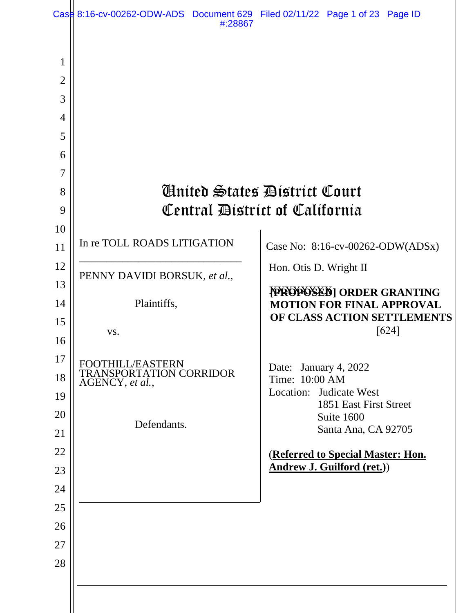|                                                                     | Case 8:16-cv-00262-ODW-ADS Document 629 Filed 02/11/22 Page 1 of 23 Page ID<br>#:28867 |                                                                        |
|---------------------------------------------------------------------|----------------------------------------------------------------------------------------|------------------------------------------------------------------------|
| 1<br>$\overline{2}$<br>3<br>$\overline{4}$<br>5<br>6<br>7<br>8<br>9 |                                                                                        | <b>Anited States District Court</b><br>Central District of California  |
| 10                                                                  |                                                                                        |                                                                        |
| 11                                                                  | In re TOLL ROADS LITIGATION                                                            | Case No: 8:16-cv-00262-ODW(ADSx)                                       |
| 12                                                                  | PENNY DAVIDI BORSUK, et al.,                                                           | Hon. Otis D. Wright II                                                 |
| 13<br>14                                                            | Plaintiffs,                                                                            | PROPOSED   ORDER GRANTING<br><b>MOTION FOR FINAL APPROVAL</b>          |
| 15                                                                  |                                                                                        | OF CLASS ACTION SETTLEMENTS                                            |
| 16                                                                  | VS.                                                                                    | [624]                                                                  |
| 17                                                                  | FOOTHILL/EASTERN                                                                       |                                                                        |
| 18                                                                  | TRANSPORTATION CORRIDOR<br>AGENCY, et al.,                                             | Date: January 4, 2022<br>Time: 10:00 AM                                |
| 19                                                                  |                                                                                        | Location: Judicate West<br>1851 East First Street                      |
| 20                                                                  | Defendants.                                                                            | Suite 1600                                                             |
| 21                                                                  |                                                                                        | Santa Ana, CA 92705                                                    |
| 22                                                                  |                                                                                        | (Referred to Special Master: Hon.<br><b>Andrew J. Guilford (ret.))</b> |
| 23<br>24                                                            |                                                                                        |                                                                        |
| 25                                                                  |                                                                                        |                                                                        |
| 26                                                                  |                                                                                        |                                                                        |
| 27                                                                  |                                                                                        |                                                                        |
| 28                                                                  |                                                                                        |                                                                        |
|                                                                     |                                                                                        |                                                                        |
|                                                                     |                                                                                        |                                                                        |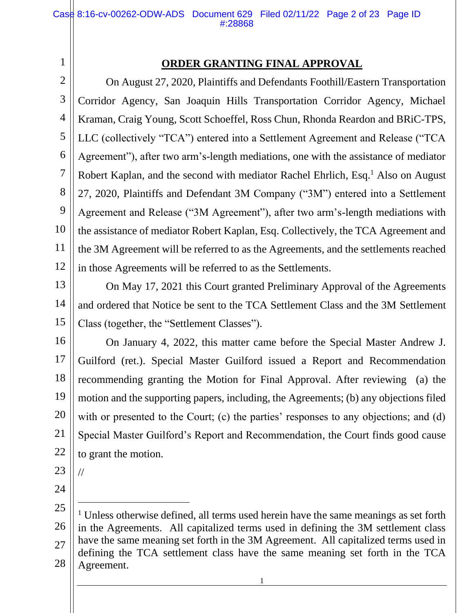## 1 1

### **ORDER GRANTING FINAL APPROVAL**

2 2 3 3 4 4 5 5 6 6 7 7 8 8 9 9 10 10 11 11 12 12 On August 27, 2020, Plaintiffs and Defendants Foothill/Eastern Transportation Corridor Agency, San Joaquin Hills Transportation Corridor Agency, Michael Kraman, Craig Young, Scott Schoeffel, Ross Chun, Rhonda Reardon and BRiC-TPS, LLC (collectively "TCA") entered into a Settlement Agreement and Release ("TCA Agreement"), after two arm's-length mediations, one with the assistance of mediator Robert Kaplan, and the second with mediator Rachel Ehrlich, Esq.<sup>1</sup> Also on August 27, 2020, Plaintiffs and Defendant 3M Company ("3M") entered into a Settlement Agreement and Release ("3M Agreement"), after two arm's-length mediations with the assistance of mediator Robert Kaplan, Esq. Collectively, the TCA Agreement and the 3M Agreement will be referred to as the Agreements, and the settlements reached in those Agreements will be referred to as the Settlements.

13 13

14 14

15 15

On May 17, 2021 this Court granted Preliminary Approval of the Agreements and ordered that Notice be sent to the TCA Settlement Class and the 3M Settlement Class (together, the "Settlement Classes").

16 16 17 17 18 18 19 19 20 20 21 21 22 22 On January 4, 2022, this matter came before the Special Master Andrew J. Guilford (ret.). Special Master Guilford issued a Report and Recommendation recommending granting the Motion for Final Approval. After reviewing (a) the motion and the supporting papers, including, the Agreements; (b) any objections filed with or presented to the Court; (c) the parties' responses to any objections; and (d) Special Master Guilford's Report and Recommendation, the Court finds good cause to grant the motion.

23 23

//

24 24

<sup>25</sup> 25 26 26 27 27 28 28 <sup>1</sup> Unless otherwise defined, all terms used herein have the same meanings as set forth in the Agreements. All capitalized terms used in defining the 3M settlement class have the same meaning set forth in the 3M Agreement. All capitalized terms used in defining the TCA settlement class have the same meaning set forth in the TCA Agreement.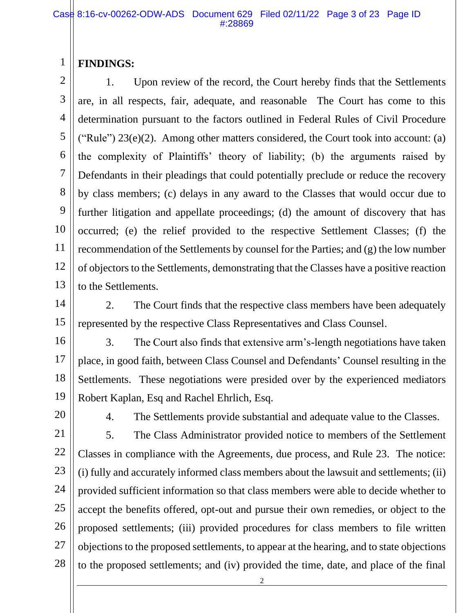#### 1 1 **FINDINGS:**

2 2 3 3 4 4 5 5 6 6 7 7 8 8 9 9 10 10 11 11 12 12 13 13 1. Upon review of the record, the Court hereby finds that the Settlements are, in all respects, fair, adequate, and reasonable The Court has come to this determination pursuant to the factors outlined in Federal Rules of Civil Procedure ("Rule")  $23(e)(2)$ . Among other matters considered, the Court took into account: (a) the complexity of Plaintiffs' theory of liability; (b) the arguments raised by Defendants in their pleadings that could potentially preclude or reduce the recovery by class members; (c) delays in any award to the Classes that would occur due to further litigation and appellate proceedings; (d) the amount of discovery that has occurred; (e) the relief provided to the respective Settlement Classes; (f) the recommendation of the Settlements by counsel for the Parties; and (g) the low number of objectors to the Settlements, demonstrating that the Classes have a positive reaction to the Settlements.

2. The Court finds that the respective class members have been adequately represented by the respective Class Representatives and Class Counsel.

16 16 17 17 18 18 19 19 3. The Court also finds that extensive arm's-length negotiations have taken place, in good faith, between Class Counsel and Defendants' Counsel resulting in the Settlements. These negotiations were presided over by the experienced mediators Robert Kaplan, Esq and Rachel Ehrlich, Esq.

20 20

4. The Settlements provide substantial and adequate value to the Classes.

21 21 22 22 23 23 24 24 25 25 26 26 27 27 28 28 5. The Class Administrator provided notice to members of the Settlement Classes in compliance with the Agreements, due process, and Rule 23. The notice: (i) fully and accurately informed class members about the lawsuit and settlements; (ii) provided sufficient information so that class members were able to decide whether to accept the benefits offered, opt-out and pursue their own remedies, or object to the proposed settlements; (iii) provided procedures for class members to file written objections to the proposed settlements, to appear at the hearing, and to state objections to the proposed settlements; and (iv) provided the time, date, and place of the final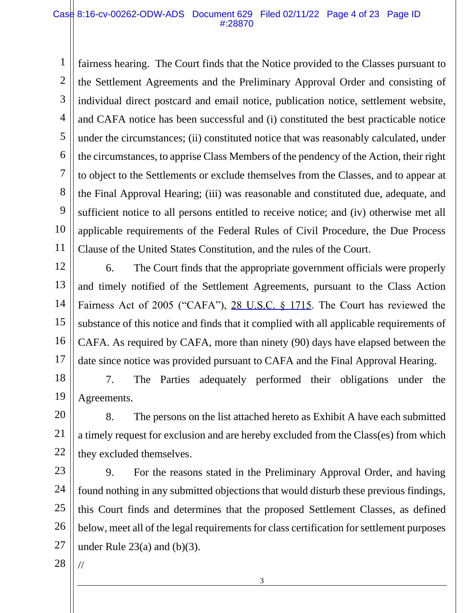#### Case 8:16-cv-00262-ODW-ADS Document 629 Filed 02/11/22 Page 4 of 23 Page ID #:28870

1 1 2 2 3 3 4 4 5 5 6 6 7 7 8 8 9 9 10 10 11 11 fairness hearing. The Court finds that the Notice provided to the Classes pursuant to the Settlement Agreements and the Preliminary Approval Order and consisting of individual direct postcard and email notice, publication notice, settlement website, and CAFA notice has been successful and (i) constituted the best practicable notice under the circumstances; (ii) constituted notice that was reasonably calculated, under the circumstances, to apprise Class Members of the pendency of the Action, their right to object to the Settlements or exclude themselves from the Classes, and to appear at the Final Approval Hearing; (iii) was reasonable and constituted due, adequate, and sufficient notice to all persons entitled to receive notice; and (iv) otherwise met all applicable requirements of the Federal Rules of Civil Procedure, the Due Process Clause of the United States Constitution, and the rules of the Court.

12 12 13 13 14 14 15 15 16 16 17 17 6. The Court finds that the appropriate government officials were properly and timely notified of the Settlement Agreements, pursuant to the Class Action Fairness Act of 2005 ("CAFA"), [28 U.S.C. § 1715.](https://www.westlaw.com/Link/Document/FullText?rs=USCLink&vr=3.0&findType=Y&cite=28%2B%2Bu%2Es%2Ec%2E%2B%2B%2B%2B1715&clientid=USCourts) The Court has reviewed the substance of this notice and finds that it complied with all applicable requirements of CAFA. As required by CAFA, more than ninety (90) days have elapsed between the date since notice was provided pursuant to CAFA and the Final Approval Hearing.

18 18 19 19 7. The Parties adequately performed their obligations under the Agreements.

20 20 21 21 22 22 8. The persons on the list attached hereto as Exhibit A have each submitted a timely request for exclusion and are hereby excluded from the Class(es) from which they excluded themselves.

23 23 24 24 25 25 26 26 27 27 9. For the reasons stated in the Preliminary Approval Order, and having found nothing in any submitted objections that would disturb these previous findings, this Court finds and determines that the proposed Settlement Classes, as defined below, meet all of the legal requirements for class certification for settlement purposes under Rule  $23(a)$  and  $(b)(3)$ .

28 28

//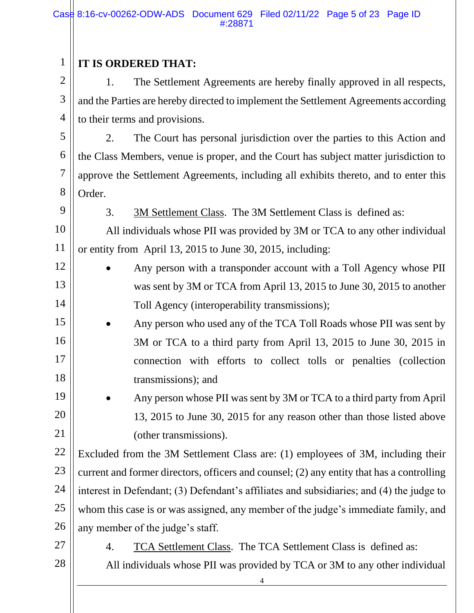| $\mathbf{1}$   | IT IS ORDERED THAT:                                                                       |  |  |  |  |
|----------------|-------------------------------------------------------------------------------------------|--|--|--|--|
| $\overline{2}$ | The Settlement Agreements are hereby finally approved in all respects,<br>1.              |  |  |  |  |
| 3              | and the Parties are hereby directed to implement the Settlement Agreements according      |  |  |  |  |
| $\overline{4}$ | to their terms and provisions.                                                            |  |  |  |  |
| 5              | The Court has personal jurisdiction over the parties to this Action and<br>2.             |  |  |  |  |
| 6              | the Class Members, venue is proper, and the Court has subject matter jurisdiction to      |  |  |  |  |
| $\overline{7}$ | approve the Settlement Agreements, including all exhibits thereto, and to enter this      |  |  |  |  |
| 8              | Order.                                                                                    |  |  |  |  |
| 9              | 3.<br>3M Settlement Class. The 3M Settlement Class is defined as:                         |  |  |  |  |
| 10             | All individuals whose PII was provided by 3M or TCA to any other individual               |  |  |  |  |
| 11             | or entity from April 13, 2015 to June 30, 2015, including:                                |  |  |  |  |
| 12             | Any person with a transponder account with a Toll Agency whose PII                        |  |  |  |  |
| 13             | was sent by 3M or TCA from April 13, 2015 to June 30, 2015 to another                     |  |  |  |  |
| 14             | Toll Agency (interoperability transmissions);                                             |  |  |  |  |
| 15             | Any person who used any of the TCA Toll Roads whose PII was sent by                       |  |  |  |  |
| 16             | 3M or TCA to a third party from April 13, 2015 to June 30, 2015 in                        |  |  |  |  |
| 17             | connection with efforts to collect tolls or penalties (collection                         |  |  |  |  |
| 18             | transmissions); and                                                                       |  |  |  |  |
| 19             | Any person whose PII was sent by 3M or TCA to a third party from April                    |  |  |  |  |
| 20             | 13, 2015 to June 30, 2015 for any reason other than those listed above                    |  |  |  |  |
| 21             | (other transmissions).                                                                    |  |  |  |  |
| 22             | Excluded from the 3M Settlement Class are: (1) employees of 3M, including their           |  |  |  |  |
| 23             | current and former directors, officers and counsel; (2) any entity that has a controlling |  |  |  |  |
| 24             | interest in Defendant; (3) Defendant's affiliates and subsidiaries; and (4) the judge to  |  |  |  |  |
| 25             | whom this case is or was assigned, any member of the judge's immediate family, and        |  |  |  |  |
| 26             | any member of the judge's staff.                                                          |  |  |  |  |
| 27             | <u>TCA Settlement Class</u> . The TCA Settlement Class is defined as:<br>4.               |  |  |  |  |
| 28             | All individuals whose PII was provided by TCA or 3M to any other individual               |  |  |  |  |
|                | 4                                                                                         |  |  |  |  |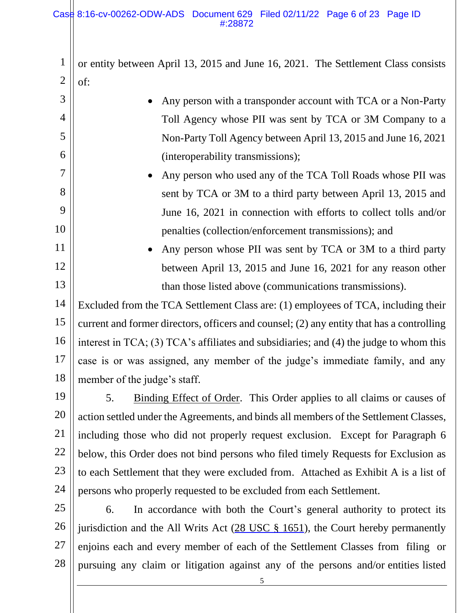3 3

4 4

5 5

6 6

7 7

8 8

9 9

10 10

11 11

12 12

13 13

1 1 2 2 or entity between April 13, 2015 and June 16, 2021. The Settlement Class consists of:

> • Any person with a transponder account with TCA or a Non-Party Toll Agency whose PII was sent by TCA or 3M Company to a Non-Party Toll Agency between April 13, 2015 and June 16, 2021 (interoperability transmissions); • Any person who used any of the TCA Toll Roads whose PII was sent by TCA or 3M to a third party between April 13, 2015 and

- June 16, 2021 in connection with efforts to collect tolls and/or penalties (collection/enforcement transmissions); and
- Any person whose PII was sent by TCA or 3M to a third party between April 13, 2015 and June 16, 2021 for any reason other than those listed above (communications transmissions).

14 14 15 15 16 16 17 17 18 18 Excluded from the TCA Settlement Class are: (1) employees of TCA, including their current and former directors, officers and counsel; (2) any entity that has a controlling interest in TCA; (3) TCA's affiliates and subsidiaries; and (4) the judge to whom this case is or was assigned, any member of the judge's immediate family, and any member of the judge's staff.

19 19 20 20 21 21 22 22 23 23 24 24 5. Binding Effect of Order. This Order applies to all claims or causes of action settled under the Agreements, and binds all members of the Settlement Classes, including those who did not properly request exclusion. Except for Paragraph 6 below, this Order does not bind persons who filed timely Requests for Exclusion as to each Settlement that they were excluded from. Attached as Exhibit A is a list of persons who properly requested to be excluded from each Settlement.

25 25 26 26 27 27 28 28 6. In accordance with both the Court's general authority to protect its jurisdiction and the All Writs Act [\(28 USC](https://www.westlaw.com/Link/Document/FullText?rs=USCLink&vr=3.0&findType=Y&cite=28%2B%2Busc%2B%2B%2B%2B1651&clientid=USCourts) § 1651), the Court hereby permanently enjoins each and every member of each of the Settlement Classes from filing or pursuing any claim or litigation against any of the persons and/or entities listed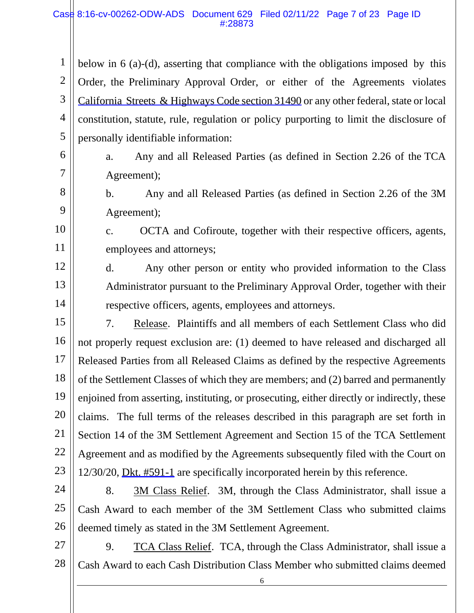#### Case 8:16-cv-00262-ODW-ADS Document 629 Filed 02/11/22 Page 7 of 23 Page ID #:28873

1 1 2 2 3 3 4 4 5 5 below in 6 (a)-(d), asserting that compliance with the obligations imposed by this Order, the Preliminary Approval Order, or either of the Agreements violates California Streets [& Highways](https://www.westlaw.com/Link/Document/FullText?rs=USCLink&vr=3.0&findType=Y&cite=ca%2Bstr%2B%2Bhwy%2Bs%2B31490&clientid=USCourts) Code section  $31490$  or any other federal, state or local constitution, statute, rule, regulation or policy purporting to limit the disclosure of personally identifiable information:

8 8

9 9

10 10

11 11

12 12

13 13

14 14

a. Any and all Released Parties (as defined in Section 2.26 of the TCA Agreement);

b. Any and all Released Parties (as defined in Section 2.26 of the 3M Agreement);

c. OCTA and Cofiroute, together with their respective officers, agents, employees and attorneys;

d. Any other person or entity who provided information to the Class Administrator pursuant to the Preliminary Approval Order, together with their respective officers, agents, employees and attorneys.

15 15 16 16 17 17 18 18 19 19 20 20 21 21 22 22 23 23 7. Release. Plaintiffs and all members of each Settlement Class who did not properly request exclusion are: (1) deemed to have released and discharged all Released Parties from all Released Claims as defined by the respective Agreements of the Settlement Classes of which they are members; and (2) barred and permanently enjoined from asserting, instituting, or prosecuting, either directly or indirectly, these claims. The full terms of the releases described in this paragraph are set forth in Section 14 of the 3M Settlement Agreement and Section 15 of the TCA Settlement Agreement and as modified by the Agreements subsequently filed with the Court on 12/30/20, [Dkt. #591-1](https://cacd-ecf.sso.dcn/n/cmecfservices/rest/file/finddoc?caseYear=2016&caseNum=00262&caseType=cv&caseOffice=8&docNum=591&docSeq=1) are specifically incorporated herein by this reference.

24 24 25 25 26 26 8. 3M Class Relief. 3M, through the Class Administrator, shall issue a Cash Award to each member of the 3M Settlement Class who submitted claims deemed timely as stated in the 3M Settlement Agreement.

27 27 28 28 9. TCA Class Relief. TCA, through the Class Administrator, shall issue a Cash Award to each Cash Distribution Class Member who submitted claims deemed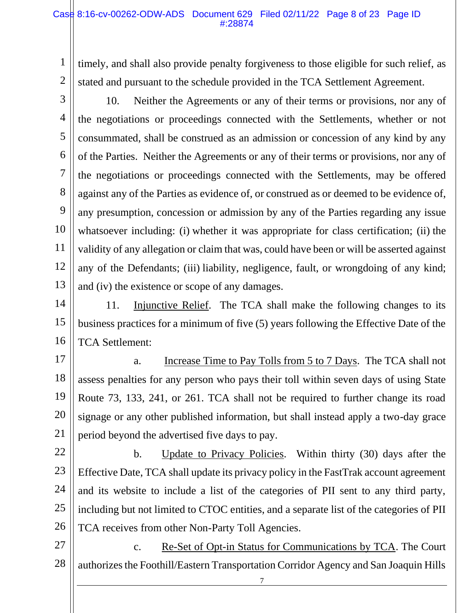1 1 2 2 timely, and shall also provide penalty forgiveness to those eligible for such relief, as stated and pursuant to the schedule provided in the TCA Settlement Agreement.

3 3

4 4

5 5

6 6

7 7

8 8

9 9

10 10

11 11

12 12

13 13

10. Neither the Agreements or any of their terms or provisions, nor any of the negotiations or proceedings connected with the Settlements, whether or not consummated, shall be construed as an admission or concession of any kind by any of the Parties. Neither the Agreements or any of their terms or provisions, nor any of the negotiations or proceedings connected with the Settlements, may be offered against any of the Parties as evidence of, or construed as or deemed to be evidence of, any presumption, concession or admission by any of the Parties regarding any issue whatsoever including: (i) whether it was appropriate for class certification; (ii) the validity of any allegation or claim that was, could have been or will be asserted against any of the Defendants; (iii) liability, negligence, fault, or wrongdoing of any kind; and (iv) the existence or scope of any damages.

14 14 15 15 16 16 11. Injunctive Relief. The TCA shall make the following changes to its business practices for a minimum of five (5) years following the Effective Date of the TCA Settlement:

17 17 18 18 19 19 20 20 21 21 a. Increase Time to Pay Tolls from 5 to 7 Days. The TCA shall not assess penalties for any person who pays their toll within seven days of using State Route 73, 133, 241, or 261. TCA shall not be required to further change its road signage or any other published information, but shall instead apply a two-day grace period beyond the advertised five days to pay.

22 22 23 23 24 24 25 25 26 26 b. Update to Privacy Policies. Within thirty (30) days after the Effective Date, TCA shall update its privacy policy in the FastTrak account agreement and its website to include a list of the categories of PII sent to any third party, including but not limited to CTOC entities, and a separate list of the categories of PII TCA receives from other Non-Party Toll Agencies.

27 27 28 28 c. Re-Set of Opt-in Status for Communications by TCA. The Court authorizes the Foothill/Eastern Transportation Corridor Agency and San Joaquin Hills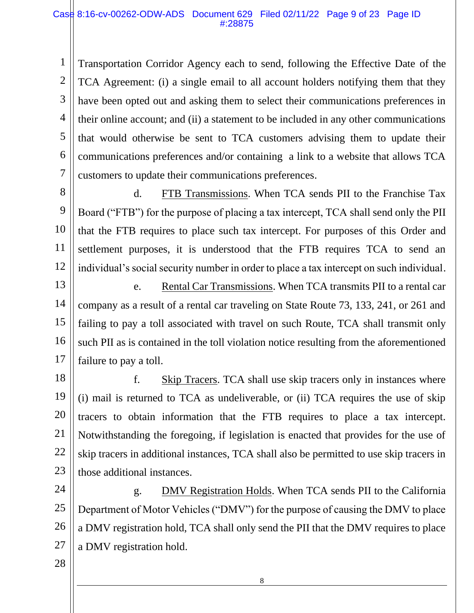#### Case 8:16-cv-00262-ODW-ADS Document 629 Filed 02/11/22 Page 9 of 23 Page ID #:28875

1 1 2 2 3 3 4 4 5 5 6 6 7 7 Transportation Corridor Agency each to send, following the Effective Date of the TCA Agreement: (i) a single email to all account holders notifying them that they have been opted out and asking them to select their communications preferences in their online account; and (ii) a statement to be included in any other communications that would otherwise be sent to TCA customers advising them to update their communications preferences and/or containing a link to a website that allows TCA customers to update their communications preferences.

8 8 9 9 10 10 11 11 12 12 d. FTB Transmissions. When TCA sends PII to the Franchise Tax Board ("FTB") for the purpose of placing a tax intercept, TCA shall send only the PII that the FTB requires to place such tax intercept. For purposes of this Order and settlement purposes, it is understood that the FTB requires TCA to send an individual's social security number in order to place a tax intercept on such individual.

13 13 14 14 15 15 16 16 17 17 e. Rental Car Transmissions. When TCA transmits PII to a rental car company as a result of a rental car traveling on State Route 73, 133, 241, or 261 and failing to pay a toll associated with travel on such Route, TCA shall transmit only such PII as is contained in the toll violation notice resulting from the aforementioned failure to pay a toll.

18 18 19 19 20 20 21 21 22 22 23 23 f. Skip Tracers. TCA shall use skip tracers only in instances where (i) mail is returned to TCA as undeliverable, or (ii) TCA requires the use of skip tracers to obtain information that the FTB requires to place a tax intercept. Notwithstanding the foregoing, if legislation is enacted that provides for the use of skip tracers in additional instances, TCA shall also be permitted to use skip tracers in those additional instances.

24 24 25 25 26 26 27 27 g. DMV Registration Holds. When TCA sends PII to the California Department of Motor Vehicles ("DMV") for the purpose of causing the DMV to place a DMV registration hold, TCA shall only send the PII that the DMV requires to place a DMV registration hold.

28 28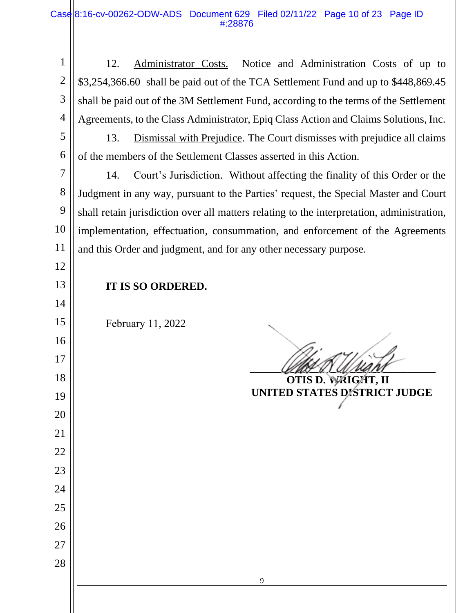1 2 3 4 12. Administrator Costs. Notice and Administration Costs of up to \$3,254,366.60 shall be paid out of the TCA Settlement Fund and up to \$448,869.45 shall be paid out of the 3M Settlement Fund, according to the terms of the Settlement Agreements, to the Class Administrator, Epiq Class Action and Claims Solutions, Inc.

 5 6 13. Dismissal with Prejudice. The Court dismisses with prejudice all claims of the members of the Settlement Classes asserted in this Action.

 7 8 9 10 11 14. Court's Jurisdiction. Without affecting the finality of this Order or the Judgment in any way, pursuant to the Parties' request, the Special Master and Court shall retain jurisdiction over all matters relating to the interpretation, administration, implementation, effectuation, consummation, and enforcement of the Agreements and this Order and judgment, and for any other necessary purpose.

**IT IS SO ORDERED.**

February 11, 2022

12

13

14

15

16

17

18

19

20

21

22

23

24

25

26

27

 $\mathscr{L}(\mathscr{A})\cong \mathscr{L}(\mathscr{A})$  ,  $\mathscr{L}(\mathscr{A})$  ,  $\mathscr{L}(\mathscr{A})$ 

 **OTIS D. WRIGHT, II UNITED STATES DISTRICT JUDGE**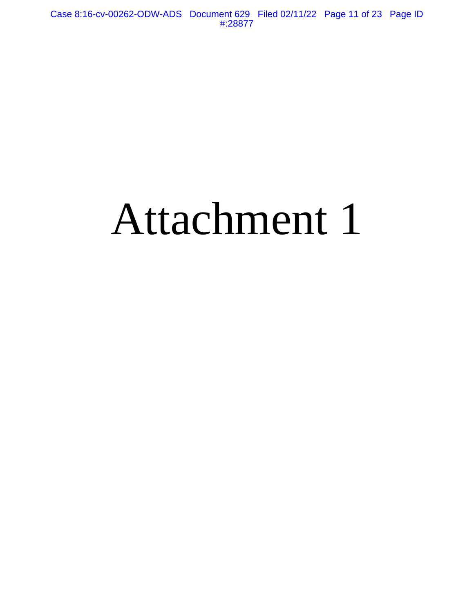# Attachment 1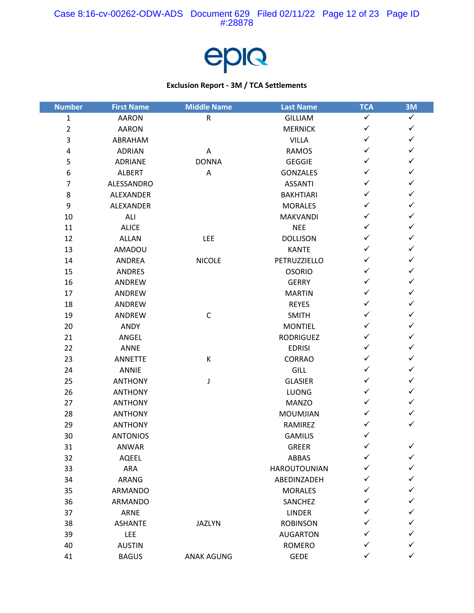

| <b>Number</b>  | <b>First Name</b> | <b>Middle Name</b> | <b>Last Name</b>    | <b>TCA</b>   | 3M           |
|----------------|-------------------|--------------------|---------------------|--------------|--------------|
| $\mathbf{1}$   | <b>AARON</b>      | ${\sf R}$          | <b>GILLIAM</b>      | $\checkmark$ | $\checkmark$ |
| 2              | <b>AARON</b>      |                    | <b>MERNICK</b>      | $\checkmark$ | $\checkmark$ |
| 3              | ABRAHAM           |                    | <b>VILLA</b>        | $\checkmark$ | $\checkmark$ |
| 4              | <b>ADRIAN</b>     | Α                  | <b>RAMOS</b>        | $\checkmark$ | $\checkmark$ |
| 5              | <b>ADRIANE</b>    | <b>DONNA</b>       | <b>GEGGIE</b>       | $\checkmark$ | $\checkmark$ |
| 6              | ALBERT            | Α                  | <b>GONZALES</b>     | $\checkmark$ | $\checkmark$ |
| $\overline{7}$ | ALESSANDRO        |                    | <b>ASSANTI</b>      | ✓            | $\checkmark$ |
| 8              | ALEXANDER         |                    | <b>BAKHTIARI</b>    | ✓            | $\checkmark$ |
| 9              | ALEXANDER         |                    | <b>MORALES</b>      | $\checkmark$ | $\checkmark$ |
| 10             | ALI               |                    | <b>MAKVANDI</b>     | $\checkmark$ | $\checkmark$ |
| 11             | <b>ALICE</b>      |                    | <b>NEE</b>          | $\checkmark$ | $\checkmark$ |
| 12             | <b>ALLAN</b>      | LEE                | <b>DOLLISON</b>     | ✓            | $\checkmark$ |
| 13             | AMADOU            |                    | <b>KANTE</b>        | ✓            | $\checkmark$ |
| 14             | ANDREA            | <b>NICOLE</b>      | PETRUZZIELLO        | $\checkmark$ | $\checkmark$ |
| 15             | <b>ANDRES</b>     |                    | <b>OSORIO</b>       | ✓            | $\checkmark$ |
| 16             | ANDREW            |                    | <b>GERRY</b>        | $\checkmark$ | $\checkmark$ |
| 17             | ANDREW            |                    | <b>MARTIN</b>       | $\checkmark$ | $\checkmark$ |
| 18             | ANDREW            |                    | <b>REYES</b>        | ✓            | $\checkmark$ |
| 19             | ANDREW            | $\mathsf C$        | <b>SMITH</b>        | $\checkmark$ | $\checkmark$ |
| 20             | ANDY              |                    | <b>MONTIEL</b>      | ✓            | $\checkmark$ |
| 21             | ANGEL             |                    | <b>RODRIGUEZ</b>    | $\checkmark$ | $\checkmark$ |
| 22             | <b>ANNE</b>       |                    | <b>EDRISI</b>       | $\checkmark$ | $\checkmark$ |
| 23             | <b>ANNETTE</b>    | К                  | CORRAO              | ✓            | $\checkmark$ |
| 24             | <b>ANNIE</b>      |                    | <b>GILL</b>         | ✓            | $\checkmark$ |
| 25             | <b>ANTHONY</b>    | J                  | <b>GLASIER</b>      | $\checkmark$ | $\checkmark$ |
| 26             | <b>ANTHONY</b>    |                    | LUONG               | $\checkmark$ | $\checkmark$ |
| 27             | <b>ANTHONY</b>    |                    | <b>MANZO</b>        | $\checkmark$ | $\checkmark$ |
| 28             | <b>ANTHONY</b>    |                    | <b>MOUMJIAN</b>     | $\checkmark$ | $\checkmark$ |
| 29             | <b>ANTHONY</b>    |                    | RAMIREZ             | ✓            | $\checkmark$ |
| 30             | <b>ANTONIOS</b>   |                    | <b>GAMILIS</b>      | $\checkmark$ |              |
| 31             | <b>ANWAR</b>      |                    | <b>GREER</b>        | $\checkmark$ | $\checkmark$ |
| 32             | <b>AQEEL</b>      |                    | ABBAS               | ✓            | ✓            |
| 33             | ARA               |                    | <b>HAROUTOUNIAN</b> | ✓            | ✓            |
| 34             | ARANG             |                    | ABEDINZADEH         | ✓            | ✓            |
| 35             | ARMANDO           |                    | <b>MORALES</b>      | ✓            | ✓            |
| 36             | <b>ARMANDO</b>    |                    | SANCHEZ             | ✓            | ✓            |
| 37             | <b>ARNE</b>       |                    | <b>LINDER</b>       | ✓            | ✓            |
| 38             | <b>ASHANTE</b>    | <b>JAZLYN</b>      | <b>ROBINSON</b>     | ✓            | ✓            |
| 39             | <b>LEE</b>        |                    | <b>AUGARTON</b>     |              | ✓            |
| 40             | <b>AUSTIN</b>     |                    | <b>ROMERO</b>       | ✓            | ✓            |
| 41             | <b>BAGUS</b>      | ANAK AGUNG         | <b>GEDE</b>         | ✓            | $\checkmark$ |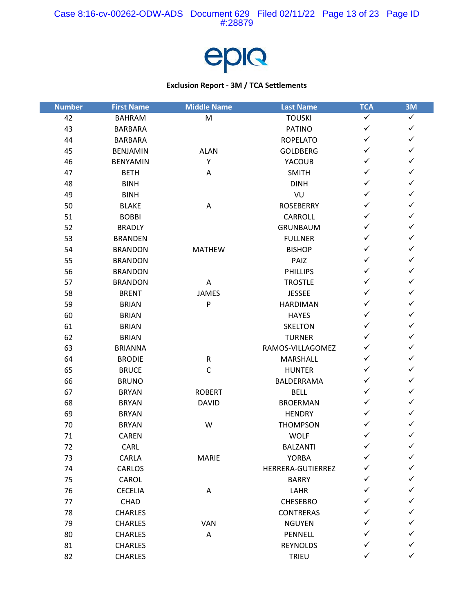

| <b>Number</b> | <b>First Name</b> | <b>Middle Name</b> | <b>Last Name</b>  | <b>TCA</b>   | 3M           |
|---------------|-------------------|--------------------|-------------------|--------------|--------------|
| 42            | <b>BAHRAM</b>     | M                  | <b>TOUSKI</b>     | $\checkmark$ | $\checkmark$ |
| 43            | <b>BARBARA</b>    |                    | <b>PATINO</b>     | $\checkmark$ | $\checkmark$ |
| 44            | <b>BARBARA</b>    |                    | <b>ROPELATO</b>   | $\checkmark$ | $\checkmark$ |
| 45            | <b>BENJAMIN</b>   | <b>ALAN</b>        | <b>GOLDBERG</b>   | $\checkmark$ | $\checkmark$ |
| 46            | <b>BENYAMIN</b>   | Υ                  | YACOUB            | $\checkmark$ | $\checkmark$ |
| 47            | <b>BETH</b>       | Α                  | <b>SMITH</b>      | $\checkmark$ | $\checkmark$ |
| 48            | <b>BINH</b>       |                    | <b>DINH</b>       | ✓            | $\checkmark$ |
| 49            | <b>BINH</b>       |                    | VU                | $\checkmark$ | $\checkmark$ |
| 50            | <b>BLAKE</b>      | Α                  | <b>ROSEBERRY</b>  | $\checkmark$ | $\checkmark$ |
| 51            | <b>BOBBI</b>      |                    | CARROLL           | $\checkmark$ | $\checkmark$ |
| 52            | <b>BRADLY</b>     |                    | <b>GRUNBAUM</b>   | $\checkmark$ | $\checkmark$ |
| 53            | <b>BRANDEN</b>    |                    | <b>FULLNER</b>    | ✓            | $\checkmark$ |
| 54            | <b>BRANDON</b>    | <b>MATHEW</b>      | <b>BISHOP</b>     | $\checkmark$ | $\checkmark$ |
| 55            | <b>BRANDON</b>    |                    | PAIZ              | $\checkmark$ | $\checkmark$ |
| 56            | <b>BRANDON</b>    |                    | <b>PHILLIPS</b>   | ✓            | $\checkmark$ |
| 57            | <b>BRANDON</b>    | Α                  | <b>TROSTLE</b>    | $\checkmark$ | $\checkmark$ |
| 58            | <b>BRENT</b>      | <b>JAMES</b>       | <b>JESSEE</b>     | $\checkmark$ | $\checkmark$ |
| 59            | <b>BRIAN</b>      | ${\sf P}$          | <b>HARDIMAN</b>   | $\checkmark$ | $\checkmark$ |
| 60            | <b>BRIAN</b>      |                    | <b>HAYES</b>      | $\checkmark$ | $\checkmark$ |
| 61            | <b>BRIAN</b>      |                    | <b>SKELTON</b>    | $\checkmark$ | $\checkmark$ |
| 62            | <b>BRIAN</b>      |                    | <b>TURNER</b>     | $\checkmark$ | $\checkmark$ |
| 63            | <b>BRIANNA</b>    |                    | RAMOS-VILLAGOMEZ  | $\checkmark$ | $\checkmark$ |
| 64            | <b>BRODIE</b>     | ${\sf R}$          | MARSHALL          | $\checkmark$ | $\checkmark$ |
| 65            | <b>BRUCE</b>      | $\mathsf C$        | <b>HUNTER</b>     | $\checkmark$ | $\checkmark$ |
| 66            | <b>BRUNO</b>      |                    | BALDERRAMA        | $\checkmark$ | $\checkmark$ |
| 67            | <b>BRYAN</b>      | <b>ROBERT</b>      | <b>BELL</b>       | $\checkmark$ | $\checkmark$ |
| 68            | <b>BRYAN</b>      | <b>DAVID</b>       | <b>BROERMAN</b>   | $\checkmark$ | $\checkmark$ |
| 69            | <b>BRYAN</b>      |                    | <b>HENDRY</b>     | $\checkmark$ | $\checkmark$ |
| 70            | <b>BRYAN</b>      | W                  | <b>THOMPSON</b>   | ✓            | $\checkmark$ |
| 71            | <b>CAREN</b>      |                    | <b>WOLF</b>       | $\checkmark$ | $\checkmark$ |
| 72            | CARL              |                    | <b>BALZANTI</b>   | $\checkmark$ | $\checkmark$ |
| 73            | CARLA             | <b>MARIE</b>       | <b>YORBA</b>      | ✓            | ✓            |
| 74            | CARLOS            |                    | HERRERA-GUTIERREZ |              | ✓            |
| 75            | CAROL             |                    | <b>BARRY</b>      |              | ✓            |
| 76            | <b>CECELIA</b>    | Α                  | LAHR              | ✓            | ✓            |
| 77            | CHAD              |                    | <b>CHESEBRO</b>   |              | ✓            |
| 78            | <b>CHARLES</b>    |                    | <b>CONTRERAS</b>  | ✓            | ✓            |
| 79            | <b>CHARLES</b>    | <b>VAN</b>         | <b>NGUYEN</b>     |              | ✓            |
| 80            | CHARLES           | Α                  | PENNELL           |              | ✓            |
| 81            | <b>CHARLES</b>    |                    | REYNOLDS          | ✓            | ✓            |
| 82            | CHARLES           |                    | TRIEU             | ✓            | $\checkmark$ |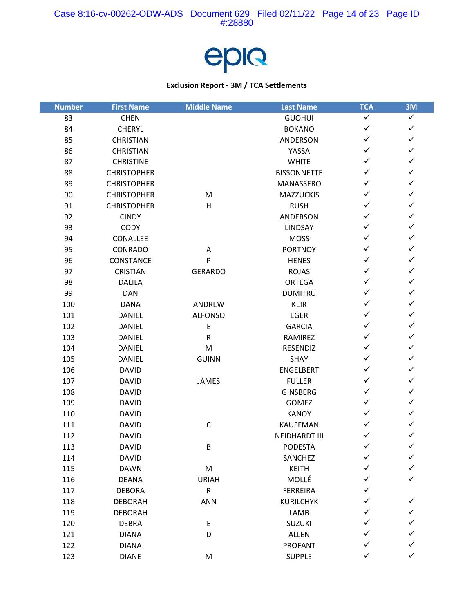

| <b>Number</b> | <b>First Name</b>  | <b>Middle Name</b> | <b>Last Name</b>     | <b>TCA</b>   | 3M           |
|---------------|--------------------|--------------------|----------------------|--------------|--------------|
| 83            | <b>CHEN</b>        |                    | <b>GUOHUI</b>        | $\checkmark$ | $\checkmark$ |
| 84            | <b>CHERYL</b>      |                    | <b>BOKANO</b>        | $\checkmark$ | $\checkmark$ |
| 85            | <b>CHRISTIAN</b>   |                    | ANDERSON             | $\checkmark$ | $\checkmark$ |
| 86            | <b>CHRISTIAN</b>   |                    | YASSA                | $\checkmark$ | $\checkmark$ |
| 87            | <b>CHRISTINE</b>   |                    | <b>WHITE</b>         | $\checkmark$ | $\checkmark$ |
| 88            | <b>CHRISTOPHER</b> |                    | <b>BISSONNETTE</b>   | $\checkmark$ | $\checkmark$ |
| 89            | <b>CHRISTOPHER</b> |                    | MANASSERO            | $\checkmark$ | $\checkmark$ |
| 90            | <b>CHRISTOPHER</b> | M                  | <b>MAZZUCKIS</b>     | $\checkmark$ | $\checkmark$ |
| 91            | <b>CHRISTOPHER</b> | H                  | <b>RUSH</b>          | $\checkmark$ | $\checkmark$ |
| 92            | <b>CINDY</b>       |                    | ANDERSON             | $\checkmark$ | $\checkmark$ |
| 93            | <b>CODY</b>        |                    | <b>LINDSAY</b>       | $\checkmark$ | $\checkmark$ |
| 94            | CONALLEE           |                    | <b>MOSS</b>          | ✓            | $\checkmark$ |
| 95            | CONRADO            | Α                  | <b>PORTNOY</b>       | $\checkmark$ | $\checkmark$ |
| 96            | CONSTANCE          | P                  | <b>HENES</b>         | $\checkmark$ | $\checkmark$ |
| 97            | <b>CRISTIAN</b>    | <b>GERARDO</b>     | <b>ROJAS</b>         | $\checkmark$ | $\checkmark$ |
| 98            | <b>DALILA</b>      |                    | <b>ORTEGA</b>        | $\checkmark$ | $\checkmark$ |
| 99            | <b>DAN</b>         |                    | <b>DUMITRU</b>       | $\checkmark$ | $\checkmark$ |
| 100           | <b>DANA</b>        | ANDREW             | <b>KEIR</b>          | $\checkmark$ | $\checkmark$ |
| 101           | <b>DANIEL</b>      | <b>ALFONSO</b>     | <b>EGER</b>          | $\checkmark$ | $\checkmark$ |
| 102           | <b>DANIEL</b>      | $\mathsf E$        | <b>GARCIA</b>        | $\checkmark$ | $\checkmark$ |
| 103           | <b>DANIEL</b>      | $\mathsf R$        | RAMIREZ              | $\checkmark$ | $\checkmark$ |
| 104           | <b>DANIEL</b>      | M                  | RESENDIZ             | $\checkmark$ | $\checkmark$ |
| 105           | <b>DANIEL</b>      | <b>GUINN</b>       | SHAY                 | $\checkmark$ | $\checkmark$ |
| 106           | <b>DAVID</b>       |                    | <b>ENGELBERT</b>     | $\checkmark$ | $\checkmark$ |
| 107           | <b>DAVID</b>       | <b>JAMES</b>       | <b>FULLER</b>        | $\checkmark$ | $\checkmark$ |
| 108           | <b>DAVID</b>       |                    | <b>GINSBERG</b>      | $\checkmark$ | $\checkmark$ |
| 109           | <b>DAVID</b>       |                    | <b>GOMEZ</b>         | $\checkmark$ | $\checkmark$ |
| 110           | <b>DAVID</b>       |                    | <b>KANOY</b>         | $\checkmark$ | $\checkmark$ |
| 111           | <b>DAVID</b>       | $\mathsf C$        | <b>KAUFFMAN</b>      | ✓            | $\checkmark$ |
| 112           | <b>DAVID</b>       |                    | <b>NEIDHARDT III</b> | ✓            | $\checkmark$ |
| 113           | <b>DAVID</b>       | B                  | <b>PODESTA</b>       | $\checkmark$ | $\checkmark$ |
| 114           | <b>DAVID</b>       |                    | SANCHEZ              | ✓            | ✓            |
| 115           | <b>DAWN</b>        | ${\sf M}$          | <b>KEITH</b>         |              | ✓            |
| 116           | <b>DEANA</b>       | <b>URIAH</b>       | MOLLÉ                |              | ✓            |
| 117           | <b>DEBORA</b>      | ${\sf R}$          | <b>FERREIRA</b>      | ✓            |              |
| 118           | <b>DEBORAH</b>     | ANN                | <b>KURILCHYK</b>     |              | $\checkmark$ |
| 119           | <b>DEBORAH</b>     |                    | LAMB                 | ✓            | ✓            |
| 120           | <b>DEBRA</b>       | E                  | <b>SUZUKI</b>        | ✓            | ✓            |
| 121           | <b>DIANA</b>       | D                  | ALLEN                |              | ✓            |
| 122           | <b>DIANA</b>       |                    | <b>PROFANT</b>       | ✓            | ✓            |
| 123           | <b>DIANE</b>       | M                  | <b>SUPPLE</b>        | ✓            | $\checkmark$ |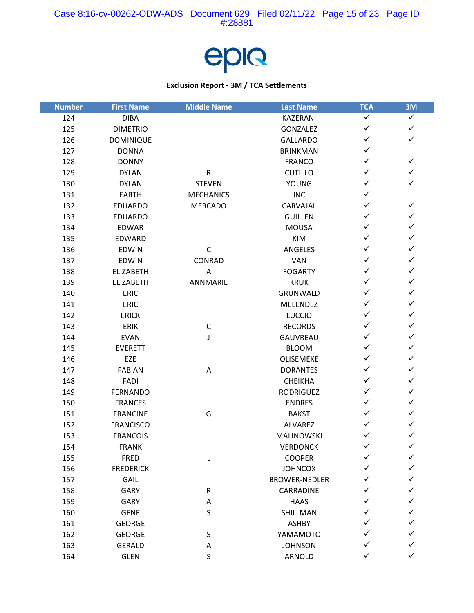

| <b>Number</b> | <b>First Name</b> | <b>Middle Name</b>        | <b>Last Name</b>     | <b>TCA</b>   | 3M           |
|---------------|-------------------|---------------------------|----------------------|--------------|--------------|
| 124           | <b>DIBA</b>       |                           | KAZERANI             | ✓            | $\checkmark$ |
| 125           | <b>DIMETRIO</b>   |                           | <b>GONZALEZ</b>      | ✓            | $\checkmark$ |
| 126           | <b>DOMINIQUE</b>  |                           | <b>GALLARDO</b>      | ✓            | $\checkmark$ |
| 127           | <b>DONNA</b>      |                           | <b>BRINKMAN</b>      | ✓            |              |
| 128           | <b>DONNY</b>      |                           | <b>FRANCO</b>        | ✓            | $\checkmark$ |
| 129           | <b>DYLAN</b>      | ${\sf R}$                 | <b>CUTILLO</b>       | ✓            | $\checkmark$ |
| 130           | <b>DYLAN</b>      | <b>STEVEN</b>             | <b>YOUNG</b>         | ✓            | ✓            |
| 131           | <b>EARTH</b>      | <b>MECHANICS</b>          | <b>INC</b>           | ✓            |              |
| 132           | <b>EDUARDO</b>    | <b>MERCADO</b>            | CARVAJAL             | ✓            | $\checkmark$ |
| 133           | <b>EDUARDO</b>    |                           | <b>GUILLEN</b>       | ✓            | ✓            |
| 134           | <b>EDWAR</b>      |                           | <b>MOUSA</b>         | ✓            | $\checkmark$ |
| 135           | EDWARD            |                           | <b>KIM</b>           | ✓            | $\checkmark$ |
| 136           | <b>EDWIN</b>      | $\mathsf C$               | ANGELES              | ✓            | $\checkmark$ |
| 137           | EDWIN             | CONRAD                    | <b>VAN</b>           | ✓            | $\checkmark$ |
| 138           | <b>ELIZABETH</b>  | $\boldsymbol{\mathsf{A}}$ | <b>FOGARTY</b>       | ✓            | ✓            |
| 139           | <b>ELIZABETH</b>  | ANNMARIE                  | <b>KRUK</b>          | ✓            | $\checkmark$ |
| 140           | <b>ERIC</b>       |                           | GRUNWALD             | ✓            | $\checkmark$ |
| 141           | <b>ERIC</b>       |                           | <b>MELENDEZ</b>      | ✓            | $\checkmark$ |
| 142           | <b>ERICK</b>      |                           | <b>LUCCIO</b>        | ✓            | ✓            |
| 143           | <b>ERIK</b>       | C                         | <b>RECORDS</b>       | ✓            | ✓            |
| 144           | <b>EVAN</b>       | J                         | <b>GAUVREAU</b>      | ✓            | $\checkmark$ |
| 145           | <b>EVERETT</b>    |                           | <b>BLOOM</b>         | ✓            | $\checkmark$ |
| 146           | EZE               |                           | OLISEMEKE            | ✓            | $\checkmark$ |
| 147           | <b>FABIAN</b>     | A                         | <b>DORANTES</b>      | ✓            | ✓            |
| 148           | FADI              |                           | <b>CHEIKHA</b>       | ✓            | $\checkmark$ |
| 149           | <b>FERNANDO</b>   |                           | <b>RODRIGUEZ</b>     | ✓            | $\checkmark$ |
| 150           | <b>FRANCES</b>    | L                         | <b>ENDRES</b>        | ✓            | ✓            |
| 151           | <b>FRANCINE</b>   | G                         | <b>BAKST</b>         | ✓            | $\checkmark$ |
| 152           | <b>FRANCISCO</b>  |                           | <b>ALVAREZ</b>       | ✓            | ✓            |
| 153           | <b>FRANCOIS</b>   |                           | <b>MALINOWSKI</b>    |              | $\checkmark$ |
| 154           | <b>FRANK</b>      |                           | <b>VERDONCK</b>      | $\checkmark$ | $\checkmark$ |
| 155           | <b>FRED</b>       | L                         | <b>COOPER</b>        | ✓            | ✓            |
| 156           | <b>FREDERICK</b>  |                           | <b>JOHNCOX</b>       |              | ✓            |
| 157           | GAIL              |                           | <b>BROWER-NEDLER</b> |              |              |
| 158           | <b>GARY</b>       | R                         | CARRADINE            |              |              |
| 159           | <b>GARY</b>       | A                         | <b>HAAS</b>          |              |              |
| 160           | <b>GENE</b>       | $\sf S$                   | SHILLMAN             | ✓            | ✓            |
| 161           | <b>GEORGE</b>     |                           | <b>ASHBY</b>         |              | ✓            |
| 162           | <b>GEORGE</b>     | $\sf S$                   | YAMAMOTO             |              | ✓            |
| 163           | <b>GERALD</b>     | Α                         | <b>JOHNSON</b>       |              | ✓            |
| 164           | <b>GLEN</b>       | S                         | ARNOLD               |              | ✓            |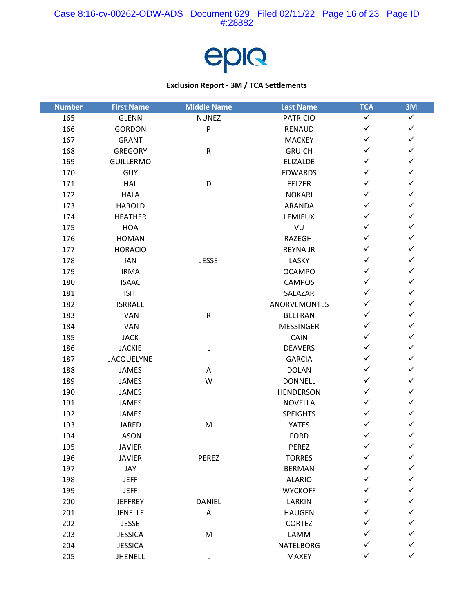

| <b>Number</b> | <b>First Name</b> | <b>Middle Name</b> | <b>Last Name</b>    | <b>TCA</b>   | 3M           |
|---------------|-------------------|--------------------|---------------------|--------------|--------------|
| 165           | <b>GLENN</b>      | <b>NUNEZ</b>       | <b>PATRICIO</b>     | $\checkmark$ | $\checkmark$ |
| 166           | <b>GORDON</b>     | P                  | <b>RENAUD</b>       | $\checkmark$ | $\checkmark$ |
| 167           | <b>GRANT</b>      |                    | <b>MACKEY</b>       | $\checkmark$ | $\checkmark$ |
| 168           | <b>GREGORY</b>    | ${\sf R}$          | <b>GRUICH</b>       | $\checkmark$ | $\checkmark$ |
| 169           | <b>GUILLERMO</b>  |                    | <b>ELIZALDE</b>     | $\checkmark$ | $\checkmark$ |
| 170           | <b>GUY</b>        |                    | <b>EDWARDS</b>      | $\checkmark$ | $\checkmark$ |
| 171           | <b>HAL</b>        | D                  | <b>FELZER</b>       | ✓            | $\checkmark$ |
| 172           | <b>HALA</b>       |                    | <b>NOKARI</b>       | $\checkmark$ | $\checkmark$ |
| 173           | <b>HAROLD</b>     |                    | <b>ARANDA</b>       | $\checkmark$ | $\checkmark$ |
| 174           | <b>HEATHER</b>    |                    | LEMIEUX             | $\checkmark$ | $\checkmark$ |
| 175           | <b>HOA</b>        |                    | VU                  | $\checkmark$ | $\checkmark$ |
| 176           | <b>HOMAN</b>      |                    | RAZEGHI             | $\checkmark$ | $\checkmark$ |
| 177           | <b>HORACIO</b>    |                    | <b>REYNA JR</b>     | $\checkmark$ | $\checkmark$ |
| 178           | IAN               | <b>JESSE</b>       | LASKY               | $\checkmark$ | $\checkmark$ |
| 179           | <b>IRMA</b>       |                    | <b>OCAMPO</b>       | $\checkmark$ | $\checkmark$ |
| 180           | <b>ISAAC</b>      |                    | <b>CAMPOS</b>       | $\checkmark$ | $\checkmark$ |
| 181           | <b>ISHI</b>       |                    | SALAZAR             | $\checkmark$ | $\checkmark$ |
| 182           | <b>ISRRAEL</b>    |                    | <b>ANORVEMONTES</b> | $\checkmark$ | $\checkmark$ |
| 183           | <b>IVAN</b>       | ${\sf R}$          | <b>BELTRAN</b>      | $\checkmark$ | $\checkmark$ |
| 184           | <b>IVAN</b>       |                    | <b>MESSINGER</b>    | $\checkmark$ | $\checkmark$ |
| 185           | <b>JACK</b>       |                    | CAIN                | $\checkmark$ | $\checkmark$ |
| 186           | <b>JACKIE</b>     | L                  | <b>DEAVERS</b>      | $\checkmark$ | $\checkmark$ |
| 187           | <b>JACQUELYNE</b> |                    | <b>GARCIA</b>       | $\checkmark$ | $\checkmark$ |
| 188           | <b>JAMES</b>      | Α                  | <b>DOLAN</b>        | $\checkmark$ | $\checkmark$ |
| 189           | JAMES             | W                  | <b>DONNELL</b>      | $\checkmark$ | $\checkmark$ |
| 190           | <b>JAMES</b>      |                    | <b>HENDERSON</b>    | $\checkmark$ | $\checkmark$ |
| 191           | <b>JAMES</b>      |                    | <b>NOVELLA</b>      | $\checkmark$ | $\checkmark$ |
| 192           | JAMES             |                    | <b>SPEIGHTS</b>     | $\checkmark$ | $\checkmark$ |
| 193           | <b>JARED</b>      | M                  | <b>YATES</b>        | ✓            | $\checkmark$ |
| 194           | <b>JASON</b>      |                    | <b>FORD</b>         | $\checkmark$ | $\checkmark$ |
| 195           | <b>JAVIER</b>     |                    | PEREZ               | $\checkmark$ | $\checkmark$ |
| 196           | <b>JAVIER</b>     | PEREZ              | <b>TORRES</b>       | ✓            | ✓            |
| 197           | JAY               |                    | <b>BERMAN</b>       |              | ✓            |
| 198           | <b>JEFF</b>       |                    | <b>ALARIO</b>       |              | ✓            |
| 199           | <b>JEFF</b>       |                    | <b>WYCKOFF</b>      |              | ✓            |
| 200           | <b>JEFFREY</b>    | DANIEL             | LARKIN              |              | ✓            |
| 201           | <b>JENELLE</b>    | A                  | <b>HAUGEN</b>       | ✓            | ✓            |
| 202           | <b>JESSE</b>      |                    | <b>CORTEZ</b>       |              | ✓            |
| 203           | <b>JESSICA</b>    | M                  | LAMM                |              | ✓            |
| 204           | <b>JESSICA</b>    |                    | NATELBORG           | ✓            | ✓            |
| 205           | JHENELL           | L                  | MAXEY               | ✓            | $\checkmark$ |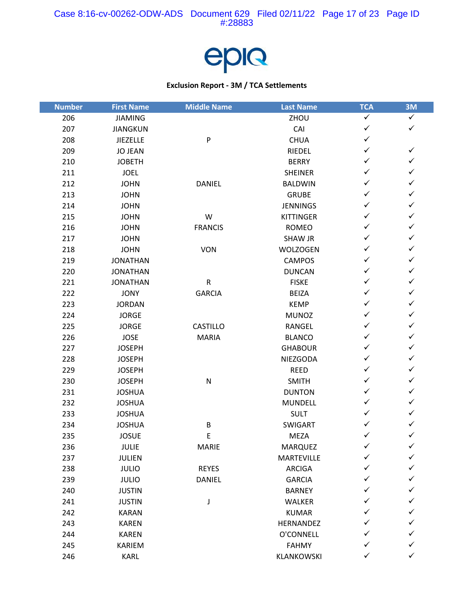

| <b>Number</b> | <b>First Name</b> | <b>Middle Name</b> | <b>Last Name</b> | <b>TCA</b>   | 3M           |
|---------------|-------------------|--------------------|------------------|--------------|--------------|
| 206           | <b>JIAMING</b>    |                    | ZHOU             | $\checkmark$ | $\checkmark$ |
| 207           | <b>JIANGKUN</b>   |                    | CAI              | $\checkmark$ | $\checkmark$ |
| 208           | <b>JIEZELLE</b>   | P                  | <b>CHUA</b>      | $\checkmark$ |              |
| 209           | <b>JO JEAN</b>    |                    | RIEDEL           | $\checkmark$ | $\checkmark$ |
| 210           | <b>JOBETH</b>     |                    | <b>BERRY</b>     | $\checkmark$ | $\checkmark$ |
| 211           | <b>JOEL</b>       |                    | <b>SHEINER</b>   | $\checkmark$ | $\checkmark$ |
| 212           | <b>JOHN</b>       | DANIEL             | <b>BALDWIN</b>   | ✓            | $\checkmark$ |
| 213           | <b>JOHN</b>       |                    | <b>GRUBE</b>     | $\checkmark$ | $\checkmark$ |
| 214           | <b>JOHN</b>       |                    | <b>JENNINGS</b>  | $\checkmark$ | $\checkmark$ |
| 215           | <b>JOHN</b>       | W                  | <b>KITTINGER</b> | $\checkmark$ | $\checkmark$ |
| 216           | <b>JOHN</b>       | <b>FRANCIS</b>     | <b>ROMEO</b>     | $\checkmark$ | $\checkmark$ |
| 217           | <b>JOHN</b>       |                    | <b>SHAW JR</b>   | $\checkmark$ | $\checkmark$ |
| 218           | <b>JOHN</b>       | <b>VON</b>         | <b>WOLZOGEN</b>  | $\checkmark$ | $\checkmark$ |
| 219           | <b>JONATHAN</b>   |                    | <b>CAMPOS</b>    | $\checkmark$ | $\checkmark$ |
| 220           | <b>JONATHAN</b>   |                    | <b>DUNCAN</b>    | $\checkmark$ | $\checkmark$ |
| 221           | <b>JONATHAN</b>   | ${\sf R}$          | <b>FISKE</b>     | $\checkmark$ | $\checkmark$ |
| 222           | <b>JONY</b>       | <b>GARCIA</b>      | <b>BEIZA</b>     | $\checkmark$ | $\checkmark$ |
| 223           | <b>JORDAN</b>     |                    | <b>KEMP</b>      | $\checkmark$ | $\checkmark$ |
| 224           | <b>JORGE</b>      |                    | <b>MUNOZ</b>     | $\checkmark$ | $\checkmark$ |
| 225           | <b>JORGE</b>      | CASTILLO           | RANGEL           | $\checkmark$ | $\checkmark$ |
| 226           | <b>JOSE</b>       | <b>MARIA</b>       | <b>BLANCO</b>    | $\checkmark$ | $\checkmark$ |
| 227           | <b>JOSEPH</b>     |                    | <b>GHABOUR</b>   | $\checkmark$ | $\checkmark$ |
| 228           | <b>JOSEPH</b>     |                    | NIEZGODA         | $\checkmark$ | $\checkmark$ |
| 229           | <b>JOSEPH</b>     |                    | <b>REED</b>      | $\checkmark$ | $\checkmark$ |
| 230           | <b>JOSEPH</b>     | ${\sf N}$          | <b>SMITH</b>     | $\checkmark$ | $\checkmark$ |
| 231           | <b>JOSHUA</b>     |                    | <b>DUNTON</b>    | $\checkmark$ | $\checkmark$ |
| 232           | <b>JOSHUA</b>     |                    | <b>MUNDELL</b>   | $\checkmark$ | $\checkmark$ |
| 233           | <b>JOSHUA</b>     |                    | <b>SULT</b>      | $\checkmark$ | $\checkmark$ |
| 234           | <b>JOSHUA</b>     | B                  | SWIGART          | $\checkmark$ | $\checkmark$ |
| 235           | <b>JOSUE</b>      | $\mathsf E$        | <b>MEZA</b>      | $\checkmark$ | $\checkmark$ |
| 236           | JULIE             | <b>MARIE</b>       | <b>MARQUEZ</b>   | $\checkmark$ | $\checkmark$ |
| 237           | <b>JULIEN</b>     |                    | MARTEVILLE       | ✓            | ✓            |
| 238           | <b>JULIO</b>      | <b>REYES</b>       | <b>ARCIGA</b>    |              | ✓            |
| 239           | <b>JULIO</b>      | DANIEL             | <b>GARCIA</b>    | ✓            | ✓            |
| 240           | <b>JUSTIN</b>     |                    | <b>BARNEY</b>    | ✓            | $\checkmark$ |
| 241           | <b>JUSTIN</b>     | J                  | WALKER           | ✓            | ✓            |
| 242           | <b>KARAN</b>      |                    | <b>KUMAR</b>     | ✓            | ✓            |
| 243           | <b>KAREN</b>      |                    | HERNANDEZ        | ✓            | ✓            |
| 244           | <b>KAREN</b>      |                    | O'CONNELL        | ✓            | ✓            |
| 245           | KARIEM            |                    | <b>FAHMY</b>     | ✓            | $\checkmark$ |
| 246           | KARL              |                    | KLANKOWSKI       | $\checkmark$ | $\checkmark$ |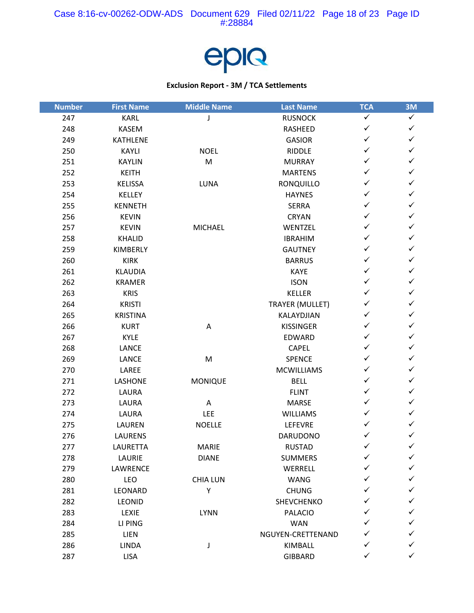

| <b>Number</b> | <b>First Name</b> | <b>Middle Name</b> | <b>Last Name</b>       | <b>TCA</b>   | 3M           |
|---------------|-------------------|--------------------|------------------------|--------------|--------------|
| 247           | KARL              | J                  | <b>RUSNOCK</b>         | $\checkmark$ | $\checkmark$ |
| 248           | <b>KASEM</b>      |                    | RASHEED                | $\checkmark$ | $\checkmark$ |
| 249           | <b>KATHLENE</b>   |                    | <b>GASIOR</b>          | $\checkmark$ | $\checkmark$ |
| 250           | KAYLI             | <b>NOEL</b>        | <b>RIDDLE</b>          | $\checkmark$ | $\checkmark$ |
| 251           | <b>KAYLIN</b>     | ${\sf M}$          | <b>MURRAY</b>          | $\checkmark$ | $\checkmark$ |
| 252           | <b>KEITH</b>      |                    | <b>MARTENS</b>         | $\checkmark$ | $\checkmark$ |
| 253           | KELISSA           | LUNA               | RONQUILLO              | $\checkmark$ | $\checkmark$ |
| 254           | KELLEY            |                    | <b>HAYNES</b>          | $\checkmark$ | $\checkmark$ |
| 255           | <b>KENNETH</b>    |                    | <b>SERRA</b>           | $\checkmark$ | $\checkmark$ |
| 256           | <b>KEVIN</b>      |                    | <b>CRYAN</b>           | $\checkmark$ | $\checkmark$ |
| 257           | <b>KEVIN</b>      | <b>MICHAEL</b>     | WENTZEL                | $\checkmark$ | $\checkmark$ |
| 258           | KHALID            |                    | <b>IBRAHIM</b>         | $\checkmark$ | $\checkmark$ |
| 259           | KIMBERLY          |                    | <b>GAUTNEY</b>         | $\checkmark$ | $\checkmark$ |
| 260           | <b>KIRK</b>       |                    | <b>BARRUS</b>          | $\checkmark$ | $\checkmark$ |
| 261           | <b>KLAUDIA</b>    |                    | <b>KAYE</b>            | $\checkmark$ | $\checkmark$ |
| 262           | <b>KRAMER</b>     |                    | <b>ISON</b>            | $\checkmark$ | $\checkmark$ |
| 263           | <b>KRIS</b>       |                    | <b>KELLER</b>          | $\checkmark$ | $\checkmark$ |
| 264           | <b>KRISTI</b>     |                    | <b>TRAYER (MULLET)</b> | $\checkmark$ | $\checkmark$ |
| 265           | <b>KRISTINA</b>   |                    | KALAYDJIAN             | $\checkmark$ | $\checkmark$ |
| 266           | <b>KURT</b>       | A                  | <b>KISSINGER</b>       | $\checkmark$ | $\checkmark$ |
| 267           | <b>KYLE</b>       |                    | EDWARD                 | $\checkmark$ | $\checkmark$ |
| 268           | <b>LANCE</b>      |                    | <b>CAPEL</b>           | $\checkmark$ | $\checkmark$ |
| 269           | LANCE             | ${\sf M}$          | <b>SPENCE</b>          | $\checkmark$ | $\checkmark$ |
| 270           | LAREE             |                    | <b>MCWILLIAMS</b>      | $\checkmark$ | $\checkmark$ |
| 271           | <b>LASHONE</b>    | <b>MONIQUE</b>     | <b>BELL</b>            | $\checkmark$ | $\checkmark$ |
| 272           | LAURA             |                    | <b>FLINT</b>           | $\checkmark$ | $\checkmark$ |
| 273           | LAURA             | Α                  | <b>MARSE</b>           | $\checkmark$ | $\checkmark$ |
| 274           | LAURA             | LEE                | <b>WILLIAMS</b>        | $\checkmark$ | $\checkmark$ |
| 275           | LAUREN            | <b>NOELLE</b>      | LEFEVRE                | ✓            | $\checkmark$ |
| 276           | <b>LAURENS</b>    |                    | <b>DARUDONO</b>        | ✓            | $\checkmark$ |
| 277           | LAURETTA          | <b>MARIE</b>       | <b>RUSTAD</b>          | $\checkmark$ | $\checkmark$ |
| 278           | LAURIE            | <b>DIANE</b>       | <b>SUMMERS</b>         | ✓            | ✓            |
| 279           | LAWRENCE          |                    | WERRELL                |              | ✓            |
| 280           | LEO               | <b>CHIA LUN</b>    | <b>WANG</b>            |              | ✓            |
| 281           | LEONARD           | Υ                  | <b>CHUNG</b>           | ✓            | ✓            |
| 282           | LEONID            |                    | SHEVCHENKO             |              | ✓            |
| 283           | LEXIE             | LYNN               | <b>PALACIO</b>         | ✓            | ✓            |
| 284           | LI PING           |                    | <b>WAN</b>             | ✓            | ✓            |
| 285           | <b>LIEN</b>       |                    | NGUYEN-CRETTENAND      | ✓            | ✓            |
| 286           | LINDA             | J                  | KIMBALL                |              | ✓            |
| 287           | <b>LISA</b>       |                    | <b>GIBBARD</b>         | ✓            | $\checkmark$ |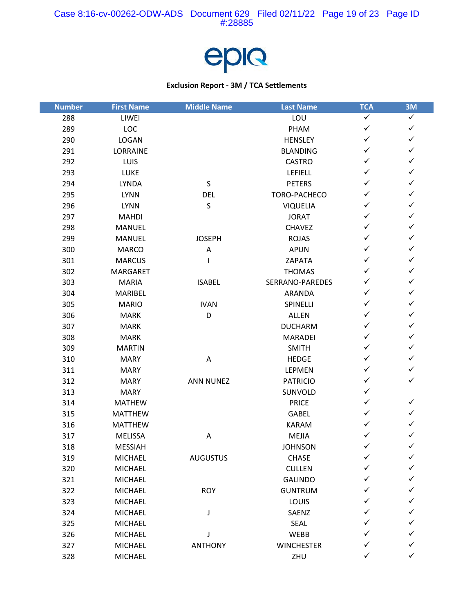

| <b>Number</b> | <b>First Name</b> | <b>Middle Name</b> | <b>Last Name</b>  | <b>TCA</b>   | 3M           |
|---------------|-------------------|--------------------|-------------------|--------------|--------------|
| 288           | LIWEI             |                    | LOU               | $\checkmark$ | $\checkmark$ |
| 289           | LOC               |                    | PHAM              | $\checkmark$ | $\checkmark$ |
| 290           | <b>LOGAN</b>      |                    | <b>HENSLEY</b>    | $\checkmark$ | $\checkmark$ |
| 291           | LORRAINE          |                    | <b>BLANDING</b>   | $\checkmark$ | $\checkmark$ |
| 292           | LUIS              |                    | <b>CASTRO</b>     | $\checkmark$ | $\checkmark$ |
| 293           | LUKE              |                    | LEFIELL           | $\checkmark$ | $\checkmark$ |
| 294           | LYNDA             | $\sf S$            | <b>PETERS</b>     | ✓            | $\checkmark$ |
| 295           | <b>LYNN</b>       | <b>DEL</b>         | TORO-PACHECO      | $\checkmark$ | $\checkmark$ |
| 296           | <b>LYNN</b>       | $\mathsf S$        | <b>VIQUELIA</b>   | $\checkmark$ | $\checkmark$ |
| 297           | <b>MAHDI</b>      |                    | <b>JORAT</b>      | $\checkmark$ | $\checkmark$ |
| 298           | <b>MANUEL</b>     |                    | <b>CHAVEZ</b>     | $\checkmark$ | $\checkmark$ |
| 299           | <b>MANUEL</b>     | <b>JOSEPH</b>      | <b>ROJAS</b>      | $\checkmark$ | $\checkmark$ |
| 300           | <b>MARCO</b>      | $\mathsf A$        | <b>APUN</b>       | $\checkmark$ | $\checkmark$ |
| 301           | <b>MARCUS</b>     |                    | ZAPATA            | $\checkmark$ | $\checkmark$ |
| 302           | MARGARET          |                    | <b>THOMAS</b>     | $\checkmark$ | $\checkmark$ |
| 303           | <b>MARIA</b>      | <b>ISABEL</b>      | SERRANO-PAREDES   | $\checkmark$ | $\checkmark$ |
| 304           | MARIBEL           |                    | ARANDA            | $\checkmark$ | $\checkmark$ |
| 305           | <b>MARIO</b>      | <b>IVAN</b>        | SPINELLI          | $\checkmark$ | $\checkmark$ |
| 306           | <b>MARK</b>       | D                  | ALLEN             | $\checkmark$ | $\checkmark$ |
| 307           | <b>MARK</b>       |                    | <b>DUCHARM</b>    | $\checkmark$ | $\checkmark$ |
| 308           | <b>MARK</b>       |                    | <b>MARADEI</b>    | $\checkmark$ | $\checkmark$ |
| 309           | <b>MARTIN</b>     |                    | <b>SMITH</b>      | $\checkmark$ | $\checkmark$ |
| 310           | <b>MARY</b>       | Α                  | <b>HEDGE</b>      | $\checkmark$ | $\checkmark$ |
| 311           | <b>MARY</b>       |                    | LEPMEN            | $\checkmark$ | $\checkmark$ |
| 312           | <b>MARY</b>       | <b>ANN NUNEZ</b>   | <b>PATRICIO</b>   | $\checkmark$ | $\checkmark$ |
| 313           | <b>MARY</b>       |                    | SUNVOLD           | $\checkmark$ |              |
| 314           | <b>MATHEW</b>     |                    | <b>PRICE</b>      | $\checkmark$ | $\checkmark$ |
| 315           | <b>MATTHEW</b>    |                    | GABEL             | $\checkmark$ | $\checkmark$ |
| 316           | <b>MATTHEW</b>    |                    | <b>KARAM</b>      | ✓            | $\checkmark$ |
| 317           | <b>MELISSA</b>    | Α                  | <b>MEJIA</b>      | ✓            | $\checkmark$ |
| 318           | <b>MESSIAH</b>    |                    | <b>JOHNSON</b>    | $\checkmark$ | $\checkmark$ |
| 319           | MICHAEL           | <b>AUGUSTUS</b>    | CHASE             | ✓            | ✓            |
| 320           | <b>MICHAEL</b>    |                    | <b>CULLEN</b>     |              | $\checkmark$ |
| 321           | <b>MICHAEL</b>    |                    | <b>GALINDO</b>    | ✓            | ✓            |
| 322           | <b>MICHAEL</b>    | <b>ROY</b>         | <b>GUNTRUM</b>    | ✓            | $\checkmark$ |
| 323           | <b>MICHAEL</b>    |                    | LOUIS             | ✓            | ✓            |
| 324           | MICHAEL           | J                  | SAENZ             | ✓            | ✓            |
| 325           | <b>MICHAEL</b>    |                    | SEAL              | ✓            | $\checkmark$ |
| 326           | <b>MICHAEL</b>    | J                  | WEBB              | ✓            | ✓            |
| 327           | MICHAEL           | <b>ANTHONY</b>     | <b>WINCHESTER</b> | ✓            | ✓            |
| 328           | MICHAEL           |                    | ZHU               | $\checkmark$ | $\checkmark$ |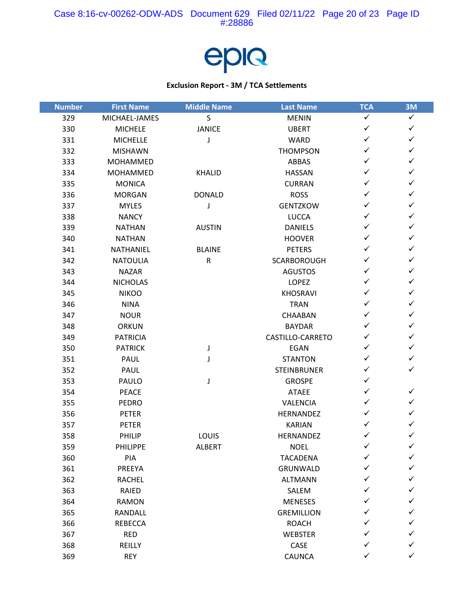

| <b>Number</b> | <b>First Name</b> | <b>Middle Name</b> | <b>Last Name</b>   | <b>TCA</b>   | 3M           |
|---------------|-------------------|--------------------|--------------------|--------------|--------------|
| 329           | MICHAEL-JAMES     | $\mathsf{S}$       | <b>MENIN</b>       | ✓            | $\checkmark$ |
| 330           | <b>MICHELE</b>    | <b>JANICE</b>      | <b>UBERT</b>       | ✓            | $\checkmark$ |
| 331           | <b>MICHELLE</b>   | J                  | <b>WARD</b>        | ✓            | $\checkmark$ |
| 332           | <b>MISHAWN</b>    |                    | <b>THOMPSON</b>    | $\checkmark$ | $\checkmark$ |
| 333           | MOHAMMED          |                    | <b>ABBAS</b>       | ✓            | $\checkmark$ |
| 334           | MOHAMMED          | <b>KHALID</b>      | <b>HASSAN</b>      | ✓            | $\checkmark$ |
| 335           | <b>MONICA</b>     |                    | <b>CURRAN</b>      | ✓            | $\checkmark$ |
| 336           | <b>MORGAN</b>     | <b>DONALD</b>      | <b>ROSS</b>        | ✓            | $\checkmark$ |
| 337           | <b>MYLES</b>      | J                  | <b>GENTZKOW</b>    | ✓            | $\checkmark$ |
| 338           | <b>NANCY</b>      |                    | <b>LUCCA</b>       | ✓            | $\checkmark$ |
| 339           | <b>NATHAN</b>     | <b>AUSTIN</b>      | <b>DANIELS</b>     | ✓            | $\checkmark$ |
| 340           | <b>NATHAN</b>     |                    | <b>HOOVER</b>      | ✓            | $\checkmark$ |
| 341           | NATHANIEL         | <b>BLAINE</b>      | <b>PETERS</b>      | ✓            | $\checkmark$ |
| 342           | <b>NATOULIA</b>   | ${\sf R}$          | <b>SCARBOROUGH</b> | ✓            | $\checkmark$ |
| 343           | <b>NAZAR</b>      |                    | <b>AGUSTOS</b>     | ✓            | $\checkmark$ |
| 344           | <b>NICHOLAS</b>   |                    | <b>LOPEZ</b>       | ✓            | $\checkmark$ |
| 345           | <b>NIKOO</b>      |                    | <b>KHOSRAVI</b>    | ✓            | $\checkmark$ |
| 346           | <b>NINA</b>       |                    | <b>TRAN</b>        | ✓            | $\checkmark$ |
| 347           | <b>NOUR</b>       |                    | <b>CHAABAN</b>     | ✓            | $\checkmark$ |
| 348           | <b>ORKUN</b>      |                    | <b>BAYDAR</b>      | ✓            | $\checkmark$ |
| 349           | <b>PATRICIA</b>   |                    | CASTILLO-CARRETO   | ✓            | $\checkmark$ |
| 350           | <b>PATRICK</b>    | J                  | EGAN               | ✓            | $\checkmark$ |
| 351           | PAUL              | J                  | <b>STANTON</b>     | ✓            | $\checkmark$ |
| 352           | PAUL              |                    | <b>STEINBRUNER</b> | ✓            | $\checkmark$ |
| 353           | PAULO             | J                  | <b>GROSPE</b>      | ✓            |              |
| 354           | <b>PEACE</b>      |                    | <b>ATAEE</b>       | ✓            | $\checkmark$ |
| 355           | <b>PEDRO</b>      |                    | VALENCIA           | ✓            | $\checkmark$ |
| 356           | <b>PETER</b>      |                    | HERNANDEZ          | ✓            | $\checkmark$ |
| 357           | <b>PETER</b>      |                    | <b>KARIAN</b>      | ✓            | ✓            |
| 358           | PHILIP            | LOUIS              | HERNANDEZ          | ✓            | $\checkmark$ |
| 359           | PHILIPPE          | ALBERT             | <b>NOEL</b>        | $\checkmark$ | $\checkmark$ |
| 360           | PIA               |                    | <b>TACADENA</b>    |              | ✓            |
| 361           | PREEYA            |                    | GRUNWALD           |              | ✓            |
| 362           | <b>RACHEL</b>     |                    | <b>ALTMANN</b>     |              | ✓            |
| 363           | RAIED             |                    | SALEM              | ✓            | ✓            |
| 364           | <b>RAMON</b>      |                    | <b>MENESES</b>     |              | ✓            |
| 365           | <b>RANDALL</b>    |                    | <b>GREMILLION</b>  |              | ✓            |
| 366           | <b>REBECCA</b>    |                    | <b>ROACH</b>       |              | ✓            |
| 367           | <b>RED</b>        |                    | <b>WEBSTER</b>     |              | ✓            |
| 368           | REILLY            |                    | CASE               |              | $\checkmark$ |
| 369           | <b>REY</b>        |                    | CAUNCA             | ✓            | $\checkmark$ |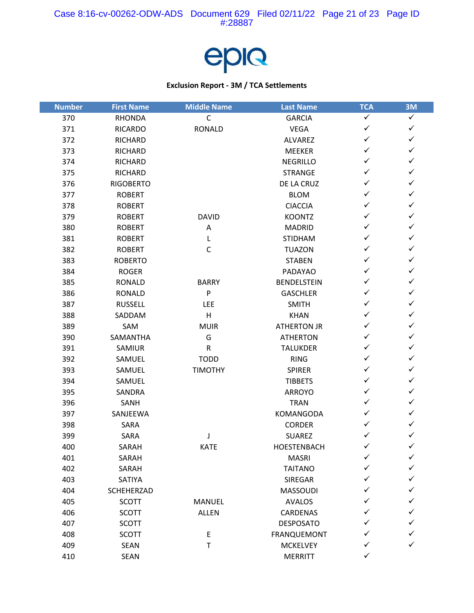

| <b>Number</b> | <b>First Name</b> | <b>Middle Name</b> | <b>Last Name</b>   | <b>TCA</b>   | 3M           |
|---------------|-------------------|--------------------|--------------------|--------------|--------------|
| 370           | <b>RHONDA</b>     | $\mathsf C$        | <b>GARCIA</b>      | $\checkmark$ | $\checkmark$ |
| 371           | <b>RICARDO</b>    | <b>RONALD</b>      | <b>VEGA</b>        | $\checkmark$ | $\checkmark$ |
| 372           | <b>RICHARD</b>    |                    | <b>ALVAREZ</b>     | ✓            | $\checkmark$ |
| 373           | <b>RICHARD</b>    |                    | <b>MEEKER</b>      | $\checkmark$ | $\checkmark$ |
| 374           | <b>RICHARD</b>    |                    | <b>NEGRILLO</b>    | ✓            | $\checkmark$ |
| 375           | <b>RICHARD</b>    |                    | <b>STRANGE</b>     | ✓            | $\checkmark$ |
| 376           | <b>RIGOBERTO</b>  |                    | DE LA CRUZ         | ✓            | $\checkmark$ |
| 377           | <b>ROBERT</b>     |                    | <b>BLOM</b>        | ✓            | $\checkmark$ |
| 378           | <b>ROBERT</b>     |                    | <b>CIACCIA</b>     | $\checkmark$ | $\checkmark$ |
| 379           | <b>ROBERT</b>     | <b>DAVID</b>       | <b>KOONTZ</b>      | ✓            | $\checkmark$ |
| 380           | <b>ROBERT</b>     | Α                  | <b>MADRID</b>      | $\checkmark$ | $\checkmark$ |
| 381           | <b>ROBERT</b>     | L                  | <b>STIDHAM</b>     | ✓            | $\checkmark$ |
| 382           | <b>ROBERT</b>     | $\mathsf C$        | <b>TUAZON</b>      | ✓            | $\checkmark$ |
| 383           | <b>ROBERTO</b>    |                    | <b>STABEN</b>      | $\checkmark$ | $\checkmark$ |
| 384           | <b>ROGER</b>      |                    | PADAYAO            | ✓            | $\checkmark$ |
| 385           | <b>RONALD</b>     | <b>BARRY</b>       | <b>BENDELSTEIN</b> | $\checkmark$ | $\checkmark$ |
| 386           | <b>RONALD</b>     | P                  | <b>GASCHLER</b>    | ✓            | $\checkmark$ |
| 387           | <b>RUSSELL</b>    | <b>LEE</b>         | <b>SMITH</b>       | ✓            | $\checkmark$ |
| 388           | SADDAM            | H                  | <b>KHAN</b>        | ✓            | $\checkmark$ |
| 389           | SAM               | <b>MUIR</b>        | <b>ATHERTON JR</b> | ✓            | ✓            |
| 390           | SAMANTHA          | G                  | <b>ATHERTON</b>    | $\checkmark$ | $\checkmark$ |
| 391           | SAMIUR            | $\mathsf R$        | <b>TALUKDER</b>    | ✓            | $\checkmark$ |
| 392           | SAMUEL            | <b>TODD</b>        | <b>RING</b>        | ✓            | $\checkmark$ |
| 393           | SAMUEL            | <b>TIMOTHY</b>     | <b>SPIRER</b>      | ✓            | $\checkmark$ |
| 394           | SAMUEL            |                    | <b>TIBBETS</b>     | ✓            | $\checkmark$ |
| 395           | SANDRA            |                    | <b>ARROYO</b>      | $\checkmark$ | $\checkmark$ |
| 396           | SANH              |                    | <b>TRAN</b>        | ✓            | $\checkmark$ |
| 397           | SANJEEWA          |                    | KOMANGODA          | ✓            | ✓            |
| 398           | SARA              |                    | <b>CORDER</b>      | ✓            | ✓            |
| 399           | SARA              | J                  | <b>SUAREZ</b>      | ✓            | $\checkmark$ |
| 400           | SARAH             | <b>KATE</b>        | HOESTENBACH        | $\checkmark$ | $\checkmark$ |
| 401           | SARAH             |                    | <b>MASRI</b>       | ✓            | ✓            |
| 402           | SARAH             |                    | <b>TAITANO</b>     | ✓            | ✓            |
| 403           | SATIYA            |                    | SIREGAR            | ✓            | ✓            |
| 404           | SCHEHERZAD        |                    | <b>MASSOUDI</b>    | ✓            | ✓            |
| 405           | <b>SCOTT</b>      | MANUEL             | <b>AVALOS</b>      | ✓            | ✓            |
| 406           | <b>SCOTT</b>      | <b>ALLEN</b>       | CARDENAS           | ✓            | ✓            |
| 407           | <b>SCOTT</b>      |                    | <b>DESPOSATO</b>   | ✓            | ✓            |
| 408           | <b>SCOTT</b>      | E                  | FRANQUEMONT        | ✓            | ✓            |
| 409           | <b>SEAN</b>       | $\top$             | <b>MCKELVEY</b>    | ✓            | ✓            |
| 410           | SEAN              |                    | <b>MERRITT</b>     | ✓            |              |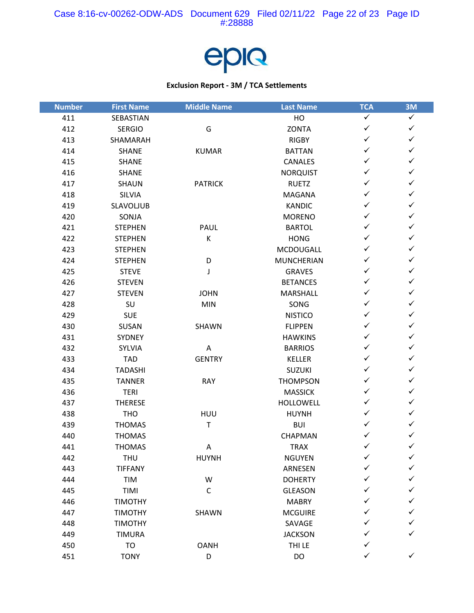

| <b>Number</b> | <b>First Name</b> | <b>Middle Name</b> | <b>Last Name</b>  | <b>TCA</b>   | 3M           |
|---------------|-------------------|--------------------|-------------------|--------------|--------------|
| 411           | SEBASTIAN         |                    | HO                | $\checkmark$ | $\checkmark$ |
| 412           | <b>SERGIO</b>     | G                  | <b>ZONTA</b>      | ✓            | $\checkmark$ |
| 413           | SHAMARAH          |                    | <b>RIGBY</b>      | ✓            | $\checkmark$ |
| 414           | <b>SHANE</b>      | <b>KUMAR</b>       | <b>BATTAN</b>     | ✓            | $\checkmark$ |
| 415           | <b>SHANE</b>      |                    | CANALES           | ✓            | $\checkmark$ |
| 416           | <b>SHANE</b>      |                    | <b>NORQUIST</b>   | ✓            | $\checkmark$ |
| 417           | <b>SHAUN</b>      | <b>PATRICK</b>     | <b>RUETZ</b>      | ✓            | $\checkmark$ |
| 418           | SILVIA            |                    | <b>MAGANA</b>     | ✓            | $\checkmark$ |
| 419           | SLAVOLJUB         |                    | KANDIC            | ✓            | ✓            |
| 420           | SONJA             |                    | <b>MORENO</b>     | ✓            | ✓            |
| 421           | <b>STEPHEN</b>    | PAUL               | <b>BARTOL</b>     | ✓            | $\checkmark$ |
| 422           | <b>STEPHEN</b>    | К                  | <b>HONG</b>       | ✓            | ✓            |
| 423           | <b>STEPHEN</b>    |                    | MCDOUGALL         | ✓            | $\checkmark$ |
| 424           | <b>STEPHEN</b>    | D                  | <b>MUNCHERIAN</b> | ✓            | $\checkmark$ |
| 425           | <b>STEVE</b>      | J                  | <b>GRAVES</b>     | ✓            | ✓            |
| 426           | <b>STEVEN</b>     |                    | <b>BETANCES</b>   | ✓            | $\checkmark$ |
| 427           | <b>STEVEN</b>     | <b>JOHN</b>        | <b>MARSHALL</b>   | ✓            | $\checkmark$ |
| 428           | SU                | <b>MIN</b>         | SONG              | ✓            | $\checkmark$ |
| 429           | <b>SUE</b>        |                    | <b>NISTICO</b>    | ✓            | ✓            |
| 430           | SUSAN             | SHAWN              | <b>FLIPPEN</b>    | ✓            | ✓            |
| 431           | SYDNEY            |                    | <b>HAWKINS</b>    | ✓            | $\checkmark$ |
| 432           | SYLVIA            | Α                  | <b>BARRIOS</b>    | ✓            | $\checkmark$ |
| 433           | <b>TAD</b>        | <b>GENTRY</b>      | <b>KELLER</b>     | ✓            | $\checkmark$ |
| 434           | <b>TADASHI</b>    |                    | <b>SUZUKI</b>     | ✓            | ✓            |
| 435           | <b>TANNER</b>     | <b>RAY</b>         | <b>THOMPSON</b>   | ✓            | ✓            |
| 436           | <b>TERI</b>       |                    | <b>MASSICK</b>    | ✓            | $\checkmark$ |
| 437           | <b>THERESE</b>    |                    | HOLLOWELL         | ✓            | ✓            |
| 438           | <b>THO</b>        | HUU                | <b>HUYNH</b>      | ✓            | $\checkmark$ |
| 439           | <b>THOMAS</b>     | T                  | <b>BUI</b>        | ✓            | ✓            |
| 440           | <b>THOMAS</b>     |                    | CHAPMAN           |              | $\checkmark$ |
| 441           | <b>THOMAS</b>     | A                  | <b>TRAX</b>       | $\checkmark$ | $\checkmark$ |
| 442           | <b>THU</b>        | <b>HUYNH</b>       | <b>NGUYEN</b>     |              | ✓            |
| 443           | <b>TIFFANY</b>    |                    | ARNESEN           |              | ✓            |
| 444           | TIM               | W                  | <b>DOHERTY</b>    |              |              |
| 445           | TIMI              | $\mathsf C$        | <b>GLEASON</b>    |              | ✓            |
| 446           | <b>TIMOTHY</b>    |                    | <b>MABRY</b>      |              |              |
| 447           | <b>TIMOTHY</b>    | SHAWN              | <b>MCGUIRE</b>    |              | ✓            |
| 448           | <b>TIMOTHY</b>    |                    | SAVAGE            |              | ✓            |
| 449           | TIMURA            |                    | <b>JACKSON</b>    |              | ✓            |
| 450           | TO                | <b>OANH</b>        | THI LE            |              |              |
| 451           | <b>TONY</b>       | D                  | DO                | ✓            | $\checkmark$ |